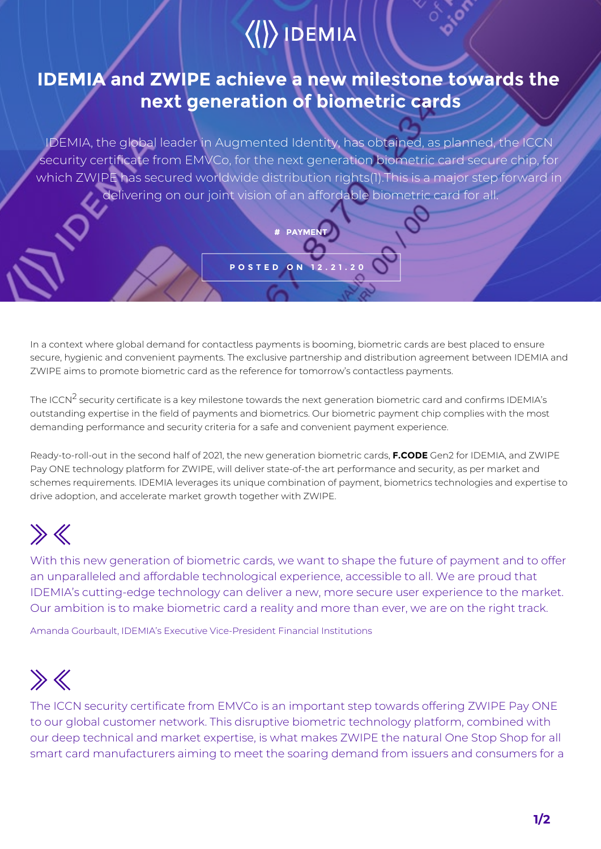## $\langle\langle\rangle\rangle$  IDEMIA

### **IDEMIA and ZWIPE achieve a new milestone towards the next generation of biometric cards**

IDEMIA, the global leader in Augmented Identity, has obtained, as planned, the ICCN security certificate from EMVCo, for the next generation biometric card secure chip, for which ZWIPE has secured worldwide distribution rights(1).This is a major step forward in delivering on our joint vision of an affordable biometric card for all.

**# PAYMEN** 

**POSTED ON 12.21.20**

In a context where global demand for contactless payments is booming, biometric cards are best placed to ensure secure, hygienic and convenient payments. The exclusive partnership and distribution agreement between IDEMIA and ZWIPE aims to promote biometric card as the reference for tomorrow's contactless payments.

The ICCN<sup>2</sup> security certificate is a key milestone towards the next generation biometric card and confirms IDEMIA's outstanding expertise in the field of payments and biometrics. Our biometric payment chip complies with the most demanding performance and security criteria for a safe and convenient payment experience.

Ready-to-roll-out in the second half of 2021, the new generation biometric cards, **F.CODE** Gen2 for IDEMIA, and ZWIPE Pay ONE technology platform for ZWIPE, will deliver state-of-the art performance and security, as per market and schemes requirements. IDEMIA leverages its unique combination of payment, biometrics technologies and expertise to drive adoption, and accelerate market growth together with ZWIPE.

# $\gg$

With this new generation of biometric cards, we want to shape the future of payment and to offer an unparalleled and affordable technological experience, accessible to all. We are proud that IDEMIA's cutting-edge technology can deliver a new, more secure user experience to the market. Our ambition is to make biometric card a reality and more than ever, we are on the right track.

Amanda Gourbault, IDEMIA's Executive Vice-President Financial Institutions

# $\gg K$

The ICCN security certificate from EMVCo is an important step towards offering ZWIPE Pay ONE to our global customer network. This disruptive biometric technology platform, combined with our deep technical and market expertise, is what makes ZWIPE the natural One Stop Shop for all smart card manufacturers aiming to meet the soaring demand from issuers and consumers for a